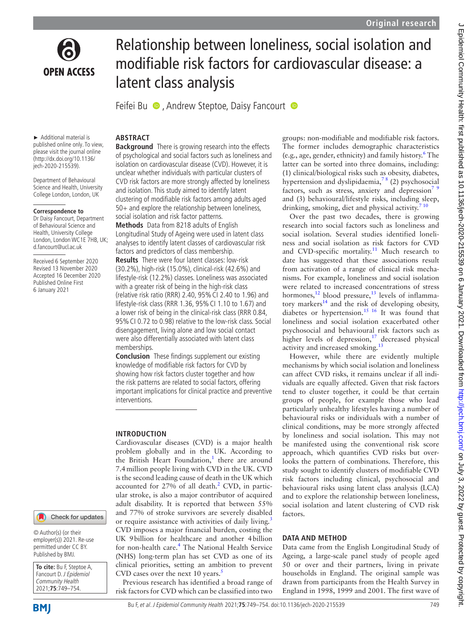

# Relationship between loneliness, social isolation and modifiable risk factors for cardiovascular disease: a latent class analysis

Feifei Bu  $\bullet$ , Andrew Steptoe, Daisy Fancourt  $\bullet$ 

► Additional material is published online only. To view, please visit the journal online (http://dx.doi.org/10.1136/ jech-2020-215539).

Department of Behavioural Science and Health, University College London, London, UK

#### **Correspondence to**

Dr Daisy Fancourt, Department of Behavioural Science and Health, University College London, London WC1E 7HB, UK; d.fancourt@ucl.ac.uk

Received 6 September 2020 Revised 13 November 2020 Accepted 16 December 2020 Published Online First 6 January 2021

## **ABSTRACT**

**Background** There is growing research into the effects of psychological and social factors such as loneliness and isolation on cardiovascular disease (CVD). However, it is unclear whether individuals with particular clusters of CVD risk factors are more strongly affected by loneliness and isolation. This study aimed to identify latent clustering of modifiable risk factors among adults aged 50+ and explore the relationship between loneliness, social isolation and risk factor patterns.

**Methods** Data from 8218 adults of English Longitudinal Study of Ageing were used in latent class analyses to identify latent classes of cardiovascular risk factors and predictors of class membership.

**Results** There were four latent classes: low-risk (30.2%), high-risk (15.0%), clinical-risk (42.6%) and lifestyle-risk (12.2%) classes. Loneliness was associated with a greater risk of being in the high-risk class (relative risk ratio (RRR) 2.40, 95%CI 2.40 to 1.96) and lifestyle-risk class (RRR 1.36, 95%CI 1.10 to 1.67) and a lower risk of being in the clinical-risk class (RRR 0.84, 95%CI 0.72 to 0.98) relative to the low-risk class. Social disengagement, living alone and low social contact were also differentially associated with latent class memberships.

**Conclusion** These findings supplement our existing knowledge of modifiable risk factors for CVD by showing how risk factors cluster together and how the risk patterns are related to social factors, offering important implications for clinical practice and preventive interventions.

### **INTRODUCTION**

Cardiovascular diseases (CVD) is a major health problem globally and in the UK. According to the British Heart Foundation,<sup>[1](#page-4-0)</sup> there are around 7.4million people living with CVD in the UK. CVD is the second leading cause of death in the UK which accounted for [2](#page-4-1)7% of all death. $^{2}$  CVD, in particular stroke, is also a major contributor of acquired adult disability. It is reported that between 55% and 77% of stroke survivors are severely disabled or require assistance with activities of daily living.<sup>[3](#page-4-2)</sup> CVD imposes a major financial burden, costing the UK 9billion for healthcare and another 4billion for non-health care.<sup>4</sup> The National Health Service (NHS) long-term plan has set CVD as one of its clinical priorities, setting an ambition to prevent CVD cases over the next 10 years. $5$ 

Previous research has identified a broad range of risk factors for CVD which can be classified into two

groups: non-modifiable and modifiable risk factors. The former includes demographic characteristics (e.g., age, gender, ethnicity) and family history.[6](#page-4-5) The latter can be sorted into three domains, including: (1) clinical/biological risks such as obesity, diabetes, hypertension and dyslipidaemia, $7<sup>8</sup>$  (2) psychosocial factors, such as stress, anxiety and depression<sup>7</sup><sup>9</sup> and (3) behavioural/lifestyle risks, including sleep, drinking, smoking, diet and physical activity. $7^{10}$ 

Over the past two decades, there is growing research into social factors such as loneliness and social isolation. Several studies identified loneliness and social isolation as risk factors for CVD and CVD-specific mortality.<sup>[11](#page-4-7)</sup> Much research to date has suggested that these associations result from activation of a range of clinical risk mechanisms. For example, loneliness and social isolation were related to increased concentrations of stress hormones, $^{12}$  $^{12}$  $^{12}$  blood pressure, $^{13}$  levels of inflammatory markers<sup>14</sup> and the risk of developing obesity, diabetes or hypertension.<sup>15 16</sup> It was found that loneliness and social isolation exacerbated other psychosocial and behavioural risk factors such as higher levels of depression, $17$  decreased physical activity and increased smoking[.13](#page-4-9)

However, while there are evidently multiple mechanisms by which social isolation and loneliness can affect CVD risks, it remains unclear if all individuals are equally affected. Given that risk factors tend to cluster together, it could be that certain groups of people, for example those who lead particularly unhealthy lifestyles having a number of behavioural risks or individuals with a number of clinical conditions, may be more strongly affected by loneliness and social isolation. This may not be manifested using the conventional risk score approach, which quantifies CVD risks but overlooks the pattern of combinations. Therefore, this study sought to identify clusters of modifiable CVD risk factors including clinical, psychosocial and behavioural risks using latent class analysis (LCA) and to explore the relationship between loneliness, social isolation and latent clustering of CVD risk factors.

#### **DATA AND METHOD**

Data came from the English Longitudinal Study of Ageing, a large-scale panel study of people aged 50 or over and their partners, living in private households in England. The original sample was drawn from participants from the Health Survey in England in 1998, 1999 and 2001. The first wave of

Check for updates

employer(s)) 2021. Re-use permitted under CC BY. Published by BMJ.

**To cite:** Bu F, Steptoe A, Fancourt D. J Epidemiol Community Health 2021;**75**:749–754.

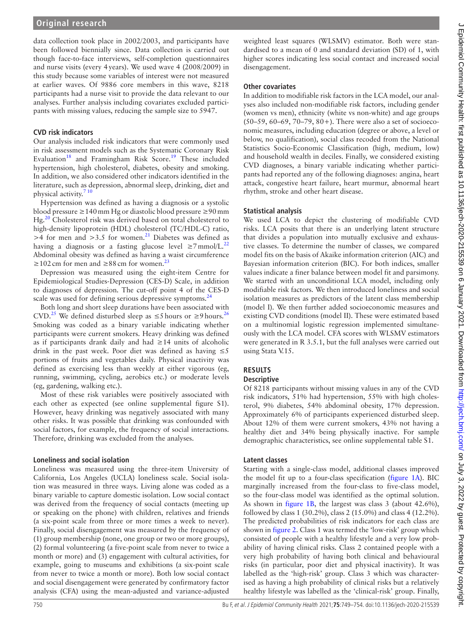## **Original research**

data collection took place in 2002/2003, and participants have been followed biennially since. Data collection is carried out though face-to-face interviews, self-completion questionnaires and nurse visits (every 4years). We used wave 4 (2008/2009) in this study because some variables of interest were not measured at earlier waves. Of 9886 core members in this wave, 8218 participants had a nurse visit to provide the data relevant to our analyses. Further analysis including covariates excluded participants with missing values, reducing the sample size to 5947.

## **CVD risk indicators**

Our analysis included risk indicators that were commonly used in risk assessment models such as the Systematic Coronary Risk Evaluation<sup>18</sup> and Framingham Risk Score.<sup>19</sup> These included hypertension, high cholesterol, diabetes, obesity and smoking. In addition, we also considered other indicators identified in the literature, such as depression, abnormal sleep, drinking, diet and physical activity.<sup>7</sup> <sup>10</sup>

Hypertension was defined as having a diagnosis or a systolic blood pressure ≥140mm Hg or diastolic blood pressure ≥90mm Hg.<sup>[20](#page-4-15)</sup> Cholesterol risk was derived based on total cholesterol to high-density lipoprotein (HDL) cholesterol (TC/HDL-C) ratio,  $>4$  for men and  $>3.5$  for women.<sup>[21](#page-4-16)</sup> Diabetes was defined as having a diagnosis or a fasting glucose level  $\geq 7$  mmol/L.<sup>[22](#page-4-17)</sup> Abdominal obesity was defined as having a waist circumference ≥102 cm for men and ≥88 cm for women.<sup>[23](#page-4-18)</sup>

Depression was measured using the eight-item Centre for Epidemiological Studies-Depression (CES-D) Scale, in addition to diagnoses of depression. The cut-off point 4 of the CES-D scale was used for defining serious depressive symptoms.<sup>[24](#page-4-19)</sup>

Both long and short sleep durations have been associated with CVD.<sup>[25](#page-4-20)</sup> We defined disturbed sleep as  $\leq$ 5 hours or  $\geq$ 9 hours.<sup>[26](#page-4-21)</sup> Smoking was coded as a binary variable indicating whether participants were current smokers. Heavy drinking was defined as if participants drank daily and had ≥14 units of alcoholic drink in the past week. Poor diet was defined as having  $\leq 5$ portions of fruits and vegetables daily. Physical inactivity was defined as exercising less than weekly at either vigorous (eg, running, swimming, cycling, aerobics etc.) or moderate levels (eg, gardening, walking etc.).

Most of these risk variables were positively associated with each other as expected (see [online supplemental figure S1](https://dx.doi.org/10.1136/jech-2020-215539)). However, heavy drinking was negatively associated with many other risks. It was possible that drinking was confounded with social factors, for example, the frequency of social interactions. Therefore, drinking was excluded from the analyses.

## **Loneliness and social isolation**

Loneliness was measured using the three-item University of California, Los Angeles (UCLA) loneliness scale. Social isolation was measured in three ways. Living alone was coded as a binary variable to capture domestic isolation. Low social contact was derived from the frequency of social contacts (meeting up or speaking on the phone) with children, relatives and friends (a six-point scale from three or more times a week to never). Finally, social disengagement was measured by the frequency of (1) group membership (none, one group or two or more groups), (2) formal volunteering (a five-point scale from never to twice a month or more) and (3) engagement with cultural activities, for example, going to museums and exhibitions (a six-point scale from never to twice a month or more). Both low social contact and social disengagement were generated by confirmatory factor analysis (CFA) using the mean-adjusted and variance-adjusted

weighted least squares (WLSMV) estimator. Both were standardised to a mean of 0 and standard deviation (SD) of 1, with higher scores indicating less social contact and increased social disengagement.

### **Other covariates**

In addition to modifiable risk factors in the LCA model, our analyses also included non-modifiable risk factors, including gender (women vs men), ethnicity (white vs non-white) and age groups (50–59, 60–69, 70–79, 80+). There were also a set of socioeconomic measures, including education (degree or above, a level or below, no qualification), social class recoded from the National Statistics Socio-Economic Classification (high, medium, low) and household wealth in deciles. Finally, we considered existing CVD diagnoses, a binary variable indicating whether participants had reported any of the following diagnoses: angina, heart attack, congestive heart failure, heart murmur, abnormal heart rhythm, stroke and other heart disease.

## **Statistical analysis**

We used LCA to depict the clustering of modifiable CVD risks. LCA posits that there is an underlying latent structure that divides a population into mutually exclusive and exhaustive classes. To determine the number of classes, we compared model fits on the basis of Akaike information criterion (AIC) and Bayesian information criterion (BIC). For both indices, smaller values indicate a finer balance between model fit and parsimony. We started with an unconditional LCA model, including only modifiable risk factors. We then introduced loneliness and social isolation measures as predictors of the latent class membership (model I). We then further added socioeconomic measures and existing CVD conditions (model II). These were estimated based on a multinomial logistic regression implemented simultaneously with the LCA model. CFA scores with WLSMV estimators were generated in R 3.5.1, but the full analyses were carried out using Stata V.15.

# **RESULTS**

## **Descriptive**

Of 8218 participants without missing values in any of the CVD risk indicators, 51% had hypertension, 55% with high cholesterol, 9% diabetes, 54% abdominal obesity, 17% depression. Approximately 6% of participants experienced disturbed sleep. About 12% of them were current smokers, 43% not having a healthy diet and 34% being physically inactive. For sample demographic characteristics, see [online supplemental table S1.](https://dx.doi.org/10.1136/jech-2020-215539)

## **Latent classes**

Starting with a single-class model, additional classes improved the model fit up to a four-class specification ([figure](#page-2-0) 1A). BIC marginally increased from the four-class to five-class model, so the four-class model was identified as the optimal solution. As shown in [figure](#page-2-0) 1B, the largest was class 3 (about 42.6%), followed by class 1 (30.2%), class 2 (15.0%) and class 4 (12.2%). The predicted probabilities of risk indicators for each class are shown in [figure](#page-2-1) 2. Class 1 was termed the 'low-risk' group which consisted of people with a healthy lifestyle and a very low probability of having clinical risks. Class 2 contained people with a very high probability of having both clinical and behavioural risks (in particular, poor diet and physical inactivity). It was labelled as the 'high-risk' group. Class 3 which was characterised as having a high probability of clinical risks but a relatively healthy lifestyle was labelled as the 'clinical-risk' group. Finally,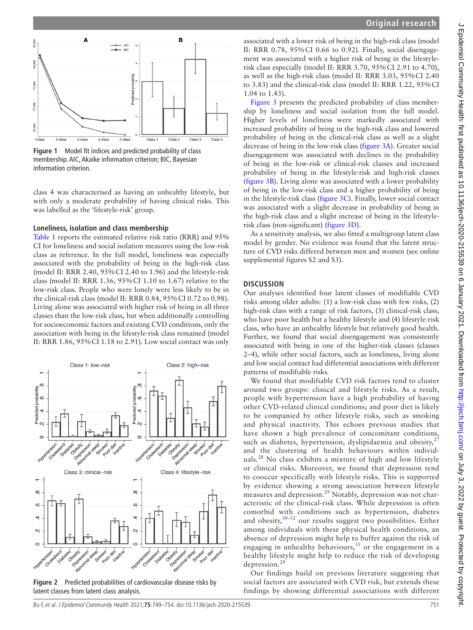

<span id="page-2-0"></span>**Figure 1** Model fit indices and predicted probability of class membership. AIC, Akaike information criterion; BIC, Bayesian information criterion.

class 4 was characterised as having an unhealthy lifestyle, but with only a moderate probability of having clinical risks. This was labelled as the 'lifestyle-risk' group.

#### **Loneliness, isolation and class membership**

[Table](#page-3-0) 1 reports the estimated relative risk ratio (RRR) and 95% CI for loneliness and social isolation measures using the low-risk class as reference. In the full model, loneliness was especially associated with the probability of being in the high-risk class (model II: RRR 2.40, 95%CI 2.40 to 1.96) and the lifestyle-risk class (model II: RRR 1.36, 95%CI 1.10 to 1.67) relative to the low-risk class. People who were lonely were less likely to be in the clinical-risk class (model II: RRR 0.84, 95%CI 0.72 to 0.98). Living alone was associated with higher risk of being in all three classes than the low-risk class, but when additionally controlling for socioeconomic factors and existing CVD conditions, only the association with being in the lifestyle-risk class remained (model II: RRR 1.86, 95%CI 1.18 to 2.91). Low social contact was only



<span id="page-2-1"></span>**Figure 2** Predicted probabilities of cardiovascular disease risks by latent classes from latent class analysis.

associated with a lower risk of being in the high-risk class (model II: RRR 0.78, 95%CI 0.66 to 0.92). Finally, social disengagement was associated with a higher risk of being in the lifestylerisk class especially (model II: RRR 3.70, 95%CI 2.91 to 4.70), as well as the high-risk class (model II: RRR 3.03, 95%CI 2.40 to 3.83) and the clinical-risk class (model II: RRR 1.22, 95%CI 1.04 to 1.43).

[Figure](#page-3-1) 3 presents the predicted probability of class membership by loneliness and social isolation from the full model. Higher levels of loneliness were markedly associated with increased probability of being in the high-risk class and lowered probability of being in the clinical-risk class as well as a slight decrease of being in the low-risk class [\(figure](#page-3-1) 3A). Greater social disengagement was associated with declines in the probability of being in the low-risk or clinical-risk classes and increased probability of being in the lifestyle-risk and high-risk classes ([figure](#page-3-1) 3B). Living alone was associated with a lower probability of being in the low-risk class and a higher probability of being in the lifestyle-risk class ([figure](#page-3-1) 3C). Finally, lower social contact was associated with a slight decrease in probability of being in the high-risk class and a slight increase of being in the lifestylerisk class (non-significant) [\(figure](#page-3-1) 3D).

As a sensitivity analysis, we also fitted a multigroup latent class model by gender. No evidence was found that the latent structure of CVD risks differed between men and women (see [online](https://dx.doi.org/10.1136/jech-2020-215539) [supplemental figures S2 and S3](https://dx.doi.org/10.1136/jech-2020-215539)).

#### **DISCUSSION**

Our analyses identified four latent classes of modifiable CVD risks among older adults: (1) a low-risk class with few risks, (2) high-risk class with a range of risk factors, (3) clinical-risk class, who have poor health but a healthy lifestyle and (4) lifestyle-risk class, who have an unhealthy lifestyle but relatively good health. Further, we found that social disengagement was consistently associated with being in one of the higher-risk classes (classes 2–4), while other social factors, such as loneliness, living alone and low social contact had differential associations with different patterns of modifiable risks.

We found that modifiable CVD risk factors tend to cluster around two groups: clinical and lifestyle risks. As a result, people with hypertension have a high probability of having other CVD-related clinical conditions; and poor diet is likely to be companied by other lifestyle risks, such as smoking and physical inactivity. This echoes previous studies that have shown a high prevalence of concomitant conditions, such as diabetes, hypertension, dyslipidaemia and obesity, $27$ and the clustering of health behaviours within individ-uals.<sup>[28](#page-5-0)</sup> No class exhibits a mixture of high and low lifestyle or clinical risks. Moreover, we found that depression tend to cooccur specifically with lifestyle risks. This is supported by evidence showing a strong association between lifestyle measures and depression.<sup>29</sup> Notably, depression was not characteristic of the clinical-risk class. While depression is often comorbid with conditions such as hypertension, diabetes and obesity, $30-32$  our results suggest two possibilities. Either among individuals with these physical health conditions, an absence of depression might help to buffer against the risk of engaging in unhealthy behaviours,  $33$  or the engagement in a healthy lifestyle might help to reduce the risk of developing depression.[29](#page-5-1)

Our findings build on previous literature suggesting that social factors are associated with CVD risk, but extends these findings by showing differential associations with different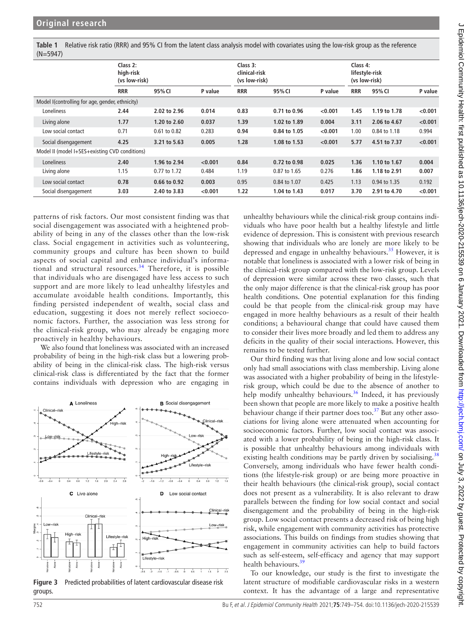<span id="page-3-0"></span>**Table 1** Relative risk ratio (RRR) and 95% CI from the latent class analysis model with covariates using the low-risk group as the reference (N=5947)

|                                                 | Class 2:<br>high-risk<br>(vs low-risk) |              |         | Class 3:<br>clinical-risk<br>(vs low-risk) |              |         | Class 4:<br>lifestyle-risk<br>(vs low-risk) |              |         |
|-------------------------------------------------|----------------------------------------|--------------|---------|--------------------------------------------|--------------|---------|---------------------------------------------|--------------|---------|
|                                                 | <b>RRR</b>                             | 95% CI       | P value | <b>RRR</b>                                 | 95% CI       | P value | <b>RRR</b>                                  | 95% CI       | P value |
| Model I(controlling for age, gender, ethnicity) |                                        |              |         |                                            |              |         |                                             |              |         |
| Loneliness                                      | 2.44                                   | 2.02 to 2.96 | 0.014   | 0.83                                       | 0.71 to 0.96 | < 0.001 | 1.45                                        | 1.19 to 1.78 | < 0.001 |
| Living alone                                    | 1.77                                   | 1.20 to 2.60 | 0.037   | 1.39                                       | 1.02 to 1.89 | 0.004   | 3.11                                        | 2.06 to 4.67 | < 0.001 |
| Low social contact                              | 0.71                                   | 0.61 to 0.82 | 0.283   | 0.94                                       | 0.84 to 1.05 | < 0.001 | 1.00                                        | 0.84 to 1.18 | 0.994   |
| Social disengagement                            | 4.25                                   | 3.21 to 5.63 | 0.005   | 1.28                                       | 1.08 to 1.53 | < 0.001 | 5.77                                        | 4.51 to 7.37 | < 0.001 |
| Model II (model I+SES+existing CVD conditions)  |                                        |              |         |                                            |              |         |                                             |              |         |
| Loneliness                                      | 2.40                                   | 1.96 to 2.94 | < 0.001 | 0.84                                       | 0.72 to 0.98 | 0.025   | 1.36                                        | 1.10 to 1.67 | 0.004   |
| Living alone                                    | 1.15                                   | 0.77 to 1.72 | 0.484   | 1.19                                       | 0.87 to 1.65 | 0.276   | 1.86                                        | 1.18 to 2.91 | 0.007   |
| Low social contact                              | 0.78                                   | 0.66 to 0.92 | 0.003   | 0.95                                       | 0.84 to 1.07 | 0.425   | 1.13                                        | 0.94 to 1.35 | 0.192   |
| Social disengagement                            | 3.03                                   | 2.40 to 3.83 | < 0.001 | 1.22                                       | 1.04 to 1.43 | 0.017   | 3.70                                        | 2.91 to 4.70 | < 0.001 |

patterns of risk factors. Our most consistent finding was that social disengagement was associated with a heightened probability of being in any of the classes other than the low-risk class. Social engagement in activities such as volunteering, community groups and culture has been shown to build aspects of social capital and enhance individual's informational and structural resources.<sup>34</sup> Therefore, it is possible that individuals who are disengaged have less access to such support and are more likely to lead unhealthy lifestyles and accumulate avoidable health conditions. Importantly, this finding persisted independent of wealth, social class and education, suggesting it does not merely reflect socioeconomic factors. Further, the association was less strong for the clinical-risk group, who may already be engaging more proactively in healthy behaviours.

We also found that loneliness was associated with an increased probability of being in the high-risk class but a lowering probability of being in the clinical-risk class. The high-risk versus clinical-risk class is differentiated by the fact that the former contains individuals with depression who are engaging in



<span id="page-3-1"></span>**Figure 3** Predicted probabilities of latent cardiovascular disease risk groups.

unhealthy behaviours while the clinical-risk group contains individuals who have poor health but a healthy lifestyle and little evidence of depression. This is consistent with previous research showing that individuals who are lonely are more likely to be depressed and engage in unhealthy behaviours.<sup>35</sup> However, it is notable that loneliness is associated with a lower risk of being in the clinical-risk group compared with the low-risk group. Levels of depression were similar across these two classes, such that the only major difference is that the clinical-risk group has poor health conditions. One potential explanation for this finding could be that people from the clinical-risk group may have engaged in more healthy behaviours as a result of their health conditions; a behavioural change that could have caused them to consider their lives more broadly and led them to address any deficits in the quality of their social interactions. However, this remains to be tested further.

Our third finding was that living alone and low social contact only had small associations with class membership. Living alone was associated with a higher probability of being in the lifestylerisk group, which could be due to the absence of another to help modify unhealthy behaviours.<sup>[36](#page-5-6)</sup> Indeed, it has previously been shown that people are more likely to make a positive health behaviour change if their partner does too. $37$  But any other associations for living alone were attenuated when accounting for socioeconomic factors. Further, low social contact was associated with a lower probability of being in the high-risk class. It is possible that unhealthy behaviours among individuals with existing health conditions may be partly driven by socialising.<sup>[38](#page-5-8)</sup> Conversely, among individuals who have fewer health conditions (the lifestyle-risk group) or are being more proactive in their health behaviours (the clinical-risk group), social contact does not present as a vulnerability. It is also relevant to draw parallels between the finding for low social contact and social disengagement and the probability of being in the high-risk group. Low social contact presents a decreased risk of being high risk, while engagement with community activities has protective associations. This builds on findings from studies showing that engagement in community activities can help to build factors such as self-esteem, self-efficacy and agency that may support health behaviours.<sup>[39](#page-5-9)</sup>

To our knowledge, our study is the first to investigate the latent structure of modifiable cardiovascular risks in a western context. It has the advantage of a large and representative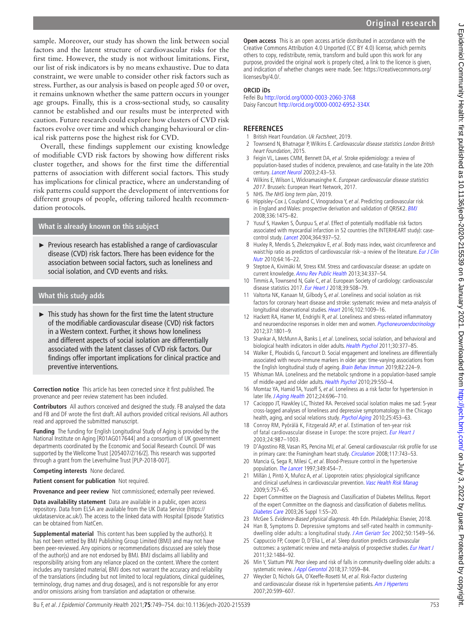sample. Moreover, our study has shown the link between social factors and the latent structure of cardiovascular risks for the first time. However, the study is not without limitations. First, our list of risk indicators is by no means exhaustive. Due to data constraint, we were unable to consider other risk factors such as stress. Further, as our analysis is based on people aged 50 or over, it remains unknown whether the same pattern occurs in younger age groups. Finally, this is a cross-sectional study, so causality cannot be established and our results must be interpreted with caution. Future research could explore how clusters of CVD risk factors evolve over time and which changing behavioural or clinical risk patterns pose the highest risk for CVD.

Overall, these findings supplement our existing knowledge of modifiable CVD risk factors by showing how different risks cluster together, and shows for the first time the differential patterns of association with different social factors. This study has implications for clinical practice, where an understanding of risk patterns could support the development of interventions for different groups of people, offering tailored health recommendation protocols.

# **What is already known on this subject**

► Previous research has established a range of cardiovascular disease (CVD) risk factors. There has been evidence for the association between social factors, such as loneliness and social isolation, and CVD events and risks.

## **What this study adds**

► This study has shown for the first time the latent structure of the modifiable cardiovascular disease (CVD) risk factors in a Western context. Further, it shows how loneliness and different aspects of social isolation are differentially associated with the latent classes of CVD risk factors. Our findings offer important implications for clinical practice and preventive interventions.

**Correction notice** This article has been corrected since it first published. The provenance and peer review statement has been included.

**Contributors** All authors conceived and designed the study. FB analysed the data and FB and DF wrote the first draft. All authors provided critical revisions. All authors read and approved the submitted manuscript.

**Funding** The funding for English Longitudinal Study of Aging is provided by the National Institute on Aging [R01AG017644] and a consortium of UK government departments coordinated by the Economic and Social Research Council. DF was supported by the Wellcome Trust [205407/Z/16/Z]. This research was supported through a grant from the Leverhulme Trust [PLP-2018-007].

**Competing interests** None declared.

**Patient consent for publication** Not required.

**Provenance and peer review** Not commissioned; externally peer reviewed.

**Data availability statement** Data are available in a public, open access repository. Data from ELSA are available from the UK Data Service [\(https://](https://ukdataservice.ac.uk/) [ukdataservice.ac.uk/\)](https://ukdataservice.ac.uk/). The access to the linked data with Hospital Episode Statistics can be obtained from NatCen.

**Supplemental material** This content has been supplied by the author(s). It has not been vetted by BMJ Publishing Group Limited (BMJ) and may not have been peer-reviewed. Any opinions or recommendations discussed are solely those of the author(s) and are not endorsed by BMJ. BMJ disclaims all liability and responsibility arising from any reliance placed on the content. Where the content includes any translated material, BMJ does not warrant the accuracy and reliability of the translations (including but not limited to local regulations, clinical guidelines, terminology, drug names and drug dosages), and is not responsible for any error and/or omissions arising from translation and adaptation or otherwise.

**Open access** This is an open access article distributed in accordance with the Creative Commons Attribution 4.0 Unported (CC BY 4.0) license, which permits others to copy, redistribute, remix, transform and build upon this work for any purpose, provided the original work is properly cited, a link to the licence is given, and indication of whether changes were made. See: [https://creativecommons.org/](https://creativecommons.org/licenses/by/4.0/) [licenses/by/4.0/.](https://creativecommons.org/licenses/by/4.0/)

## **ORCID iDs**

Feifei Bu<http://orcid.org/0000-0003-2060-3768> Daisy Fancourt <http://orcid.org/0000-0002-6952-334X>

## **REFERENCES**

- <span id="page-4-0"></span>1 British Heart Foundation. Uk Factsheet, 2019.
- <span id="page-4-1"></span>2 Townsend N, Bhatnagar P, Wilkins E. Cardiovascular disease statistics London British heart Foundation, 2015.
- <span id="page-4-2"></span>3 Feigin VL, Lawes CMM, Bennett DA, et al. Stroke epidemiology: a review of population-based studies of incidence, prevalence, and case-fatality in the late 20th century. [Lancet Neurol](http://dx.doi.org/10.1016/S1474-4422(03)00266-7) 2003;2:43–53.
- <span id="page-4-3"></span>4 Wilkins E, Wilson L, Wickramasinghe K. European cardiovascular disease statistics 2017. Brussels: European Heart Network, 2017.
- <span id="page-4-4"></span>5 NHS. The NHS long term plan, 2019.
- <span id="page-4-5"></span>6 Hippisley-Cox J, Coupland C, Vinogradova Y, et al. Predicting cardiovascular risk in England and Wales: prospective derivation and validation of QRISK2. [BMJ](http://dx.doi.org/10.1136/bmj.39609.449676.25) 2008;336:1475–82.
- <span id="page-4-6"></span>7 Yusuf S, Hawken S, Ôunpuu S, et al. Effect of potentially modifiable risk factors associated with myocardial infarction in 52 countries (the INTERHEART study): casecontrol study. [Lancet](http://dx.doi.org/10.1016/S0140-6736(04)17018-9) 2004;364:937–52.
- 8 Huxley R, Mendis S, Zheleznyakov E, et al. Body mass index, waist circumference and waist:hip ratio as predictors of cardiovascular risk--a review of the literature. *Eur J Clin* [Nutr](http://dx.doi.org/10.1038/ejcn.2009.68) 2010;64:16–22.
- 9 Steptoe A, Kivimäki M, Stress KM. Stress and cardiovascular disease: an update on current knowledge. [Annu Rev Public Health](http://dx.doi.org/10.1146/annurev-publhealth-031912-114452) 2013;34:337–54.
- 10 Timmis A, Townsend N, Gale C, et al. European Society of cardiology: cardiovascular disease statistics 2017. [Eur Heart J](http://dx.doi.org/10.1093/eurheartj/ehx628) 2018;39:508–79.
- <span id="page-4-7"></span>11 Valtorta NK, Kanaan M, Gilbody S, et al. Loneliness and social isolation as risk factors for coronary heart disease and stroke: systematic review and meta-analysis of longitudinal observational studies. [Heart](http://dx.doi.org/10.1136/heartjnl-2015-308790) 2016;102:1009-16.
- <span id="page-4-8"></span>12 Hackett RA, Hamer M, Endrighi R, et al. Loneliness and stress-related inflammatory and neuroendocrine responses in older men and women. [Psychoneuroendocrinology](http://dx.doi.org/10.1016/j.psyneuen.2012.03.016) 2012;37:1801–9.
- <span id="page-4-9"></span>13 Shankar A, McMunn A, Banks J, et al. Loneliness, social isolation, and behavioral and biological health indicators in older adults. [Health Psychol](http://dx.doi.org/10.1037/a0022826) 2011;30:377-85.
- <span id="page-4-10"></span>14 Walker E, Ploubidis G, Fancourt D. Social engagement and loneliness are differentially associated with neuro-immune markers in older age: time-varying associations from the English longitudinal study of ageing. [Brain Behav Immun](http://dx.doi.org/10.1016/j.bbi.2019.08.189) 2019;82:224-9.
- <span id="page-4-11"></span>15 Whisman MA. Loneliness and the metabolic syndrome in a population-based sample of middle-aged and older adults. [Health Psychol](http://dx.doi.org/10.1037/a0020760) 2010;29:550–4.
- 16 Momtaz YA, Hamid TA, Yusoff S, et al. Loneliness as a risk factor for hypertension in later life. [J Aging Health](http://dx.doi.org/10.1177/0898264311431305) 2012;24:696-710.
- <span id="page-4-12"></span>17 Cacioppo JT, Hawkley LC, Thisted RA. Perceived social isolation makes me sad: 5-year cross-lagged analyses of loneliness and depressive symptomatology in the Chicago health, aging, and social relations study. [Psychol Aging](http://dx.doi.org/10.1037/a0017216) 2010;25:453-63.
- <span id="page-4-13"></span>18 Conroy RM, Pyörälä K, Fitzgerald AP, et al. Estimation of ten-year risk of fatal cardiovascular disease in Europe: the score project. [Eur Heart J](http://dx.doi.org/10.1016/S0195-668X(03)00114-3) 2003;24:987–1003.
- <span id="page-4-14"></span>19 D'Agostino RB, Vasan RS, Pencina MJ, et al. General cardiovascular risk profile for use in primary care: the Framingham heart study. [Circulation](http://dx.doi.org/10.1161/CIRCULATIONAHA.107.699579) 2008;117:743-53.
- <span id="page-4-15"></span>20 Mancia G, Sega R, Milesi C, et al. Blood-Pressure control in the hypertensive population. [The Lancet](http://dx.doi.org/10.1016/S0140-6736(96)07099-7) 1997;349:454-7.
- <span id="page-4-16"></span>21 Millán J, Pintó X, Muñoz A, et al. Lipoprotein ratios: physiological significance and clinical usefulness in cardiovascular prevention. [Vasc Health Risk Manag](http://www.ncbi.nlm.nih.gov/pubmed/19774217) 2009;5:757–65.
- <span id="page-4-17"></span>22 Expert Committee on the Diagnosis and Classification of Diabetes Mellitus. Report of the expert Committee on the diagnosis and classification of diabetes mellitus. [Diabetes Care](http://dx.doi.org/10.2337/diacare.26.2007.S5) 2003;26 Suppl 1:S5–20.
- <span id="page-4-18"></span>23 McGee S. Evidence-Based physical diagnosis. 4th Edn. Philadelphia: Elsevier, 2018. 24 Han B, Symptoms D. Depressive symptoms and self-rated health in community-
- <span id="page-4-19"></span>dwelling older adults: a longitudinal study. [J Am Geriatr Soc](http://dx.doi.org/10.1046/j.1532-5415.2002.50411.x) 2002;50:1549-56.
- <span id="page-4-20"></span>25 Cappuccio FP, Cooper D, D'Elia L, et al. Sleep duration predicts cardiovascular outcomes: a systematic review and meta-analysis of prospective studies. [Eur Heart J](http://dx.doi.org/10.1093/eurheartj/ehr007) 2011;32:1484–92.
- <span id="page-4-21"></span>26 Min Y, Slattum PW. Poor sleep and risk of falls in community-dwelling older adults: a systematic review. [J Appl Gerontol](http://dx.doi.org/10.1177/0733464816681149) 2018;37:1059-84.
- <span id="page-4-22"></span>27 Weycker D, Nichols GA, O'Keeffe-Rosetti M, et al. Risk-Factor clustering and cardiovascular disease risk in hypertensive patients. [Am J Hypertens](http://dx.doi.org/10.1016/j.amjhyper.2006.10.013) 2007;20:599–607.